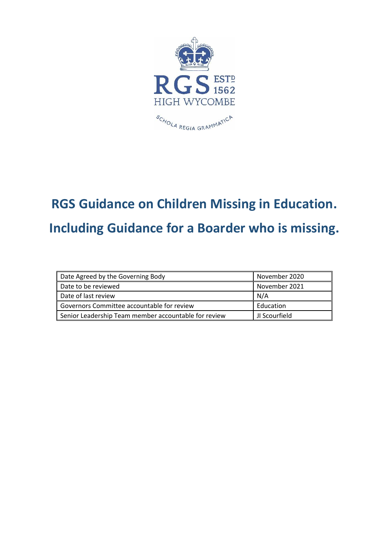

# **RGS Guidance on Children Missing in Education. Including Guidance for a Boarder who is missing.**

| Date Agreed by the Governing Body                    | November 2020    |
|------------------------------------------------------|------------------|
| Date to be reviewed                                  | November 2021    |
| Date of last review                                  | N/A              |
| Governors Committee accountable for review           | Education        |
| Senior Leadership Team member accountable for review | ll JI Scourfield |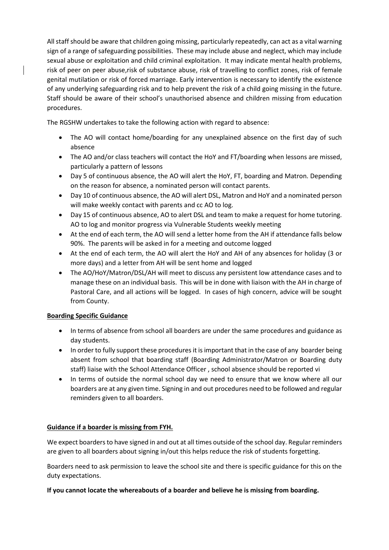All staff should be aware that children going missing, particularly repeatedly, can act as a vital warning sign of a range of safeguarding possibilities. These may include abuse and neglect, which may include sexual abuse or exploitation and child criminal exploitation. It may indicate mental health problems, risk of peer on peer abuse,risk of substance abuse, risk of travelling to conflict zones, risk of female genital mutilation or risk of forced marriage. Early intervention is necessary to identify the existence of any underlying safeguarding risk and to help prevent the risk of a child going missing in the future. Staff should be aware of their school's unauthorised absence and children missing from education procedures.

The RGSHW undertakes to take the following action with regard to absence:

- The AO will contact home/boarding for any unexplained absence on the first day of such absence
- The AO and/or class teachers will contact the HoY and FT/boarding when lessons are missed, particularly a pattern of lessons
- Day 5 of continuous absence, the AO will alert the HoY, FT, boarding and Matron. Depending on the reason for absence, a nominated person will contact parents.
- Day 10 of continuous absence, the AO will alert DSL, Matron and HoY and a nominated person will make weekly contact with parents and cc AO to log.
- Day 15 of continuous absence, AO to alert DSL and team to make a request for home tutoring. AO to log and monitor progress via Vulnerable Students weekly meeting
- At the end of each term, the AO will send a letter home from the AH if attendance falls below 90%. The parents will be asked in for a meeting and outcome logged
- At the end of each term, the AO will alert the HoY and AH of any absences for holiday (3 or more days) and a letter from AH will be sent home and logged
- The AO/HoY/Matron/DSL/AH will meet to discuss any persistent low attendance cases and to manage these on an individual basis. This will be in done with liaison with the AH in charge of Pastoral Care, and all actions will be logged. In cases of high concern, advice will be sought from County.

#### **Boarding Specific Guidance**

- In terms of absence from school all boarders are under the same procedures and guidance as day students.
- In order to fully support these procedures it is important that in the case of any boarder being absent from school that boarding staff (Boarding Administrator/Matron or Boarding duty staff) liaise with the School Attendance Officer , school absence should be reported vi
- In terms of outside the normal school day we need to ensure that we know where all our boarders are at any given time. Signing in and out procedures need to be followed and regular reminders given to all boarders.

### **Guidance if a boarder is missing from FYH.**

We expect boarders to have signed in and out at all times outside of the school day. Regular reminders are given to all boarders about signing in/out this helps reduce the risk of students forgetting.

Boarders need to ask permission to leave the school site and there is specific guidance for this on the duty expectations.

#### **If you cannot locate the whereabouts of a boarder and believe he is missing from boarding.**